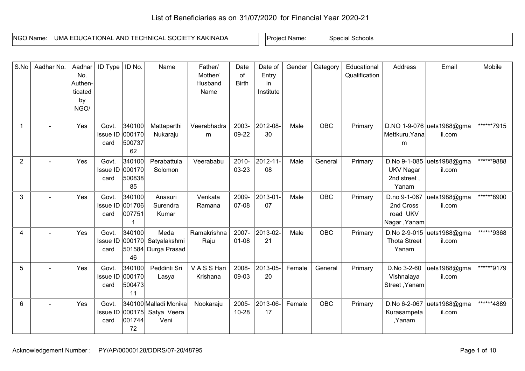## List of Beneficiaries as on 31/07/2020 for Financial Year 2020-21

| NGO Name: | UMA EDUCATIONAL AND TECHNICAL SOCIETY KAKINADA | : Name<br>Project | Schools<br>Special |
|-----------|------------------------------------------------|-------------------|--------------------|

| S.No           | Aadhar No.     | Aadhar<br>No.<br>Authen-<br>ticated<br>by<br>NGO/ | ID Type                          | ID No.                           | Name                                               | Father/<br>Mother/<br>Husband<br>Name | Date<br>of<br><b>Birth</b> | Date of<br>Entry<br>in<br>Institute | Gender | Category   | Educational<br>Qualification | Address                                                  | Email                               | Mobile     |
|----------------|----------------|---------------------------------------------------|----------------------------------|----------------------------------|----------------------------------------------------|---------------------------------------|----------------------------|-------------------------------------|--------|------------|------------------------------|----------------------------------------------------------|-------------------------------------|------------|
|                |                | Yes                                               | Govt.<br>Issue ID 000170<br>card | 340100<br>500737<br>62           | Mattaparthi<br>Nukaraju                            | Veerabhadra<br>m                      | 2003-<br>09-22             | 2012-08-<br>30                      | Male   | <b>OBC</b> | Primary                      | Mettkuru, Yana<br>m                                      | D.NO 1-9-076 uets1988@gma<br>il.com | ******7915 |
| $\overline{2}$ |                | Yes                                               | Govt.<br>Issue ID<br>card        | 340100<br>000170<br>500838<br>85 | Perabattula<br>Solomon                             | Veerababu                             | 2010-<br>03-23             | 2012-11-<br>08                      | Male   | General    | Primary                      | D.No 9-1-085<br><b>UKV Nagar</b><br>2nd street,<br>Yanam | uets1988@gma<br>il.com              | ******9888 |
| 3              |                | Yes                                               | Govt.<br>Issue ID 001706<br>card | 340100<br>007751                 | Anasuri<br>Surendra<br>Kumar                       | Venkata<br>Ramana                     | 2009-<br>07-08             | 2013-01-<br>07                      | Male   | OBC        | Primary                      | D.no 9-1-067<br>2nd Cross<br>road UKV<br>Nagar, Yanam    | uets1988@gma<br>il.com              | ******8900 |
| 4              |                | Yes                                               | Govt.<br>Issue ID<br>card        | 340100<br>46                     | Meda<br>000170 Satyalakshmi<br>501584 Durga Prasad | Ramakrishna<br>Raju                   | 2007-<br>$01 - 08$         | 2013-02-<br>21                      | Male   | OBC        | Primary                      | <b>Thota Street</b><br>Yanam                             | D.No 2-9-015 uets1988@gma<br>il.com | ******9368 |
| 5              |                | Yes                                               | Govt.<br>Issue ID 000170<br>card | 340100<br>500473<br>11           | Peddinti Sri<br>Lasya                              | V A S S Hari<br>Krishana              | 2008-<br>09-03             | 2013-05-<br>20                      | Female | General    | Primary                      | D.No 3-2-60<br>Vishnalaya<br>Street, Yanam               | uets1988@gma<br>il.com              | ******9179 |
| 6              | $\blacksquare$ | Yes                                               | Govt.<br><b>Issue ID</b><br>card | 000175<br>001744<br>72           | 340100 Malladi Monika<br>Satya Veera<br>Veni       | Nookaraju                             | 2005-<br>$10 - 28$         | 2013-06-<br>17                      | Female | <b>OBC</b> | Primary                      | D.No 6-2-067<br>Kurasampeta<br>,Yanam                    | uets1988@gma<br>il.com              | ******4889 |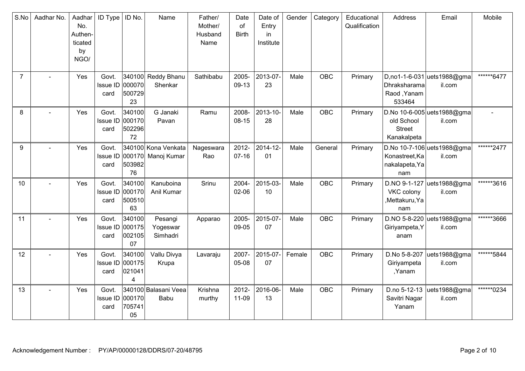| S.No           | Aadhar No. | Aadhar<br>No.<br>Authen-<br>ticated<br>by<br>NGO/ | <b>ID Type</b>                   | ID No.                           | Name                               | Father/<br>Mother/<br>Husband<br>Name | Date<br>of<br><b>Birth</b> | Date of<br>Entry<br>in<br>Institute | Gender | Category   | Educational<br>Qualification | Address                                            | Email                                 | Mobile     |
|----------------|------------|---------------------------------------------------|----------------------------------|----------------------------------|------------------------------------|---------------------------------------|----------------------------|-------------------------------------|--------|------------|------------------------------|----------------------------------------------------|---------------------------------------|------------|
| $\overline{7}$ |            | Yes                                               | Govt.<br><b>Issue ID</b><br>card | 000070<br>500729<br>23           | 340100 Reddy Bhanu<br>Shenkar      | Sathibabu                             | 2005-<br>09-13             | 2013-07-<br>23                      | Male   | <b>OBC</b> | Primary                      | Dhraksharama<br>Raod, Yanam<br>533464              | D,no1-1-6-031 uets1988@gma<br>il.com  | ******6477 |
| 8              |            | Yes                                               | Govt.<br>Issue ID<br>card        | 340100<br>000170<br>502296<br>72 | G Janaki<br>Pavan                  | Ramu                                  | 2008-<br>$08 - 15$         | 2013-10-<br>28                      | Male   | OBC        | Primary                      | old School<br><b>Street</b><br>Kanakalpeta         | D.No 10-6-005 uets 1988@gma<br>il.com |            |
| 9              |            | Yes                                               | Govt.<br>Issue ID 000170<br>card | 503982<br>76                     | 340100 Kona Venkata<br>Manoj Kumar | Nageswara<br>Rao                      | 2012-<br>$07-16$           | 2014-12-<br>01                      | Male   | General    | Primary                      | Konastreet, Ka<br>nakalapeta, Ya<br>nam            | D.No 10-7-106 uets 1988@gma<br>il.com | ******2477 |
| 10             |            | Yes                                               | Govt.<br>Issue ID<br>card        | 340100<br>000170<br>500510<br>63 | Kanuboina<br>Anil Kumar            | Srinu                                 | 2004-<br>$02 - 06$         | 2015-03-<br>10                      | Male   | <b>OBC</b> | Primary                      | D.NO 9-1-127<br>VKC colony<br>,Mettakuru,Ya<br>nam | uets1988@gma<br>il.com                | ******3616 |
| 11             |            | Yes                                               | Govt.<br><b>Issue ID</b><br>card | 340100<br>000175<br>002105<br>07 | Pesangi<br>Yogeswar<br>Simhadri    | Apparao                               | 2005-<br>09-05             | 2015-07-<br>07                      | Male   | OBC        | Primary                      | Giriyampeta, Y<br>anam                             | D.NO 5-8-220 uets1988@gma<br>il.com   | ******3666 |
| 12             |            | Yes                                               | Govt.<br>Issue ID 000175<br>card | 340100<br>021041<br>4            | Vallu Divya<br>Krupa               | Lavaraju                              | 2007-<br>05-08             | 2015-07-<br>07                      | Female | <b>OBC</b> | Primary                      | D.No 5-8-207<br>Giriyampeta<br>,Yanam              | uets1988@gma<br>il.com                | ******5844 |
| 13             |            | Yes                                               | Govt.<br>Issue ID 000170<br>card | 705741<br>05                     | 340100 Balasani Veea<br>Babu       | Krishna<br>murthy                     | 2012-<br>11-09             | 2016-06-<br>13                      | Male   | <b>OBC</b> | Primary                      | D.no 5-12-13<br>Savitri Nagar<br>Yanam             | uets1988@gma<br>il.com                | ******0234 |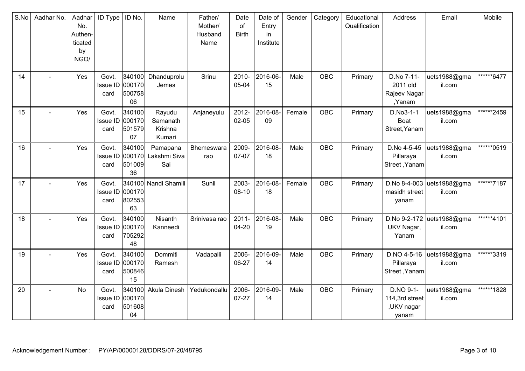| S.No | Aadhar No. | Aadhar<br>No.<br>Authen-<br>ticated<br>by<br>NGO/ | <b>ID Type</b>                   | ID No.                           | Name                                    | Father/<br>Mother/<br>Husband<br>Name | Date<br>of<br><b>Birth</b> | Date of<br>Entry<br>in<br>Institute | Gender | Category   | Educational<br>Qualification | Address                                            | Email                  | Mobile     |
|------|------------|---------------------------------------------------|----------------------------------|----------------------------------|-----------------------------------------|---------------------------------------|----------------------------|-------------------------------------|--------|------------|------------------------------|----------------------------------------------------|------------------------|------------|
| 14   |            | Yes                                               | Govt.<br>Issue ID<br>card        | 340100<br>000170<br>500758<br>06 | Dhanduprolu<br>Jemes                    | Srinu                                 | 2010-<br>05-04             | 2016-06-<br>15                      | Male   | <b>OBC</b> | Primary                      | D.No 7-11-<br>2011 old<br>Rajeev Nagar<br>,Yanam   | uets1988@gma<br>il.com | ******6477 |
| 15   |            | Yes                                               | Govt.<br>Issue ID<br>card        | 340100<br>000170<br>501579<br>07 | Rayudu<br>Samanath<br>Krishna<br>Kumari | Anjaneyulu                            | 2012-<br>$02 - 05$         | 2016-08-<br>09                      | Female | OBC        | Primary                      | D.No3-1-1<br>Boat<br>Street, Yanam                 | uets1988@gma<br>il.com | ******2459 |
| 16   |            | Yes                                               | Govt.<br>Issue ID 000170<br>card | 340100<br>501009<br>36           | Pamapana<br>Lakshmi Siva<br>Sai         | Bhemeswara<br>rao                     | 2009-<br>07-07             | 2016-08-<br>18                      | Male   | <b>OBC</b> | Primary                      | D.No 4-5-45<br>Pillaraya<br>Street, Yanam          | uets1988@gma<br>il.com | ******0519 |
| 17   |            | Yes                                               | Govt.<br>Issue ID<br>card        | 000170<br>802553<br>63           | 340100 Nandi Shamili                    | Sunil                                 | 2003-<br>$08 - 10$         | 2016-08-<br>18                      | Female | <b>OBC</b> | Primary                      | D.No 8-4-003<br>masidh street<br>yanam             | uets1988@gma<br>il.com | ******7187 |
| 18   |            | Yes                                               | Govt.<br><b>Issue ID</b><br>card | 340100<br>000170<br>705292<br>48 | Nisanth<br>Kanneedi                     | Srinivasa rao                         | $2011 -$<br>04-20          | 2016-08-<br>19                      | Male   | OBC        | Primary                      | D.No 9-2-172<br>UKV Nagar,<br>Yanam                | uets1988@gma<br>il.com | ******4101 |
| 19   |            | Yes                                               | Govt.<br>Issue ID 000170<br>card | 340100<br>500846<br>15           | Dommiti<br>Ramesh                       | Vadapalli                             | 2006-<br>06-27             | 2016-09-<br>14                      | Male   | <b>OBC</b> | Primary                      | D.NO 4-5-16<br>Pillaraya<br>Street, Yanam          | uets1988@gma<br>il.com | ******3319 |
| 20   |            | No                                                | Govt.<br>Issue ID 000170<br>card | 340100<br>501608<br>04           | Akula Dinesh                            | Yedukondallu                          | 2006-<br>$07 - 27$         | 2016-09-<br>14                      | Male   | <b>OBC</b> | Primary                      | D.NO 9-1-<br>114,3rd street<br>,UKV nagar<br>yanam | uets1988@gma<br>il.com | ******1828 |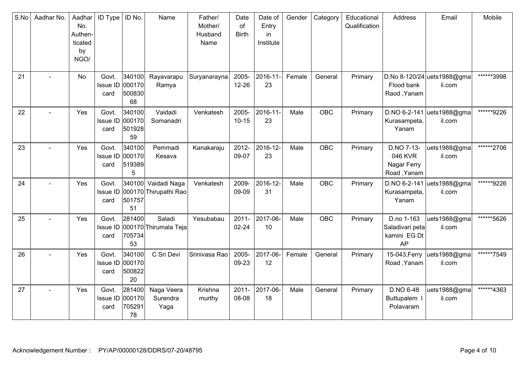| S.No | Aadhar No.     | Aadhar<br>No.<br>Authen-<br>ticated<br>by<br>NGO/ | <b>ID Type</b>                   | ID No.                           | Name                                         | Father/<br>Mother/<br>Husband<br>Name | Date<br>of<br><b>Birth</b> | Date of<br>Entry<br>in<br>Institute | Gender | Category   | Educational<br>Qualification | Address                                             | Email                                 | Mobile     |
|------|----------------|---------------------------------------------------|----------------------------------|----------------------------------|----------------------------------------------|---------------------------------------|----------------------------|-------------------------------------|--------|------------|------------------------------|-----------------------------------------------------|---------------------------------------|------------|
| 21   |                | No                                                | Govt.<br>Issue ID<br>card        | 340100<br>000170<br>500830<br>68 | Rayavarapu<br>Ramya                          | Suryanarayna                          | 2005-<br>$12 - 26$         | 2016-11-<br>23                      | Female | General    | Primary                      | Flood bank<br>Raod, Yanam                           | D.No 8-120/24 uets 1988@gma<br>il.com | ******3998 |
| 22   |                | Yes                                               | Govt.<br><b>Issue ID</b><br>card | 340100<br>000170<br>501928<br>59 | Vaidadi<br>Somanadri                         | Venkatesh                             | 2005-<br>$10 - 15$         | 2016-11-<br>23                      | Male   | <b>OBC</b> | Primary                      | Kurasampeta,<br>Yanam                               | D.NO 6-2-141 uets1988@gma<br>il.com   | ******9226 |
| 23   |                | Yes                                               | Govt.<br>Issue ID 000170<br>card | 340100<br>519389<br>5            | Pemmadi<br>Kesava                            | Kanakaraju                            | 2012-<br>09-07             | 2016-12-<br>23                      | Male   | <b>OBC</b> | Primary                      | D.NO 7-13-<br>046 KVR<br>Nagar Ferry<br>Road, Yanam | uets1988@gma<br>il.com                | ******2706 |
| 24   |                | Yes                                               | Govt.<br><b>Issue ID</b><br>card | 501757<br>51                     | 340100 Vaidadi Naga<br>000170 Thirupathi Rao | Venkatesh                             | 2009-<br>09-09             | 2016-12-<br>31                      | Male   | <b>OBC</b> | Primary                      | Kurasampeta,<br>Yanam                               | D.NO 6-2-141 uets1988@gma<br>il.com   | ******9226 |
| 25   |                | Yes                                               | Govt.<br><b>Issue ID</b><br>card | 281400<br>705734<br>53           | Saladi<br>000170 Thirumala Teja              | Yesubabau                             | $2011 -$<br>$02 - 24$      | 2017-06-<br>10                      | Male   | <b>OBC</b> | Primary                      | D.no 1-163<br>Saladivari peta<br>kamini EG Dt<br>AP | uets1988@gma<br>il.com                | ******5626 |
| 26   |                | Yes                                               | Govt.<br>Issue ID 000170<br>card | 340100<br>500822<br>20           | C Sri Devi                                   | Srinivasa Rao                         | 2005-<br>09-23             | 2017-06-<br>12                      | Female | General    | Primary                      | 15-043, Ferry<br>Road, Yanam                        | uets1988@gma<br>il.com                | ******7549 |
| 27   | $\blacksquare$ | Yes                                               | Govt.<br>Issue ID<br>card        | 281400<br>000170<br>705291<br>78 | Naga Veera<br>Surendra<br>Yaga               | Krishna<br>murthy                     | $2011 -$<br>08-08          | 2017-06-<br>18                      | Male   | General    | Primary                      | D.NO 6-48<br>Buttupalem I<br>Polavaram              | uets1988@gma<br>il.com                | ******4363 |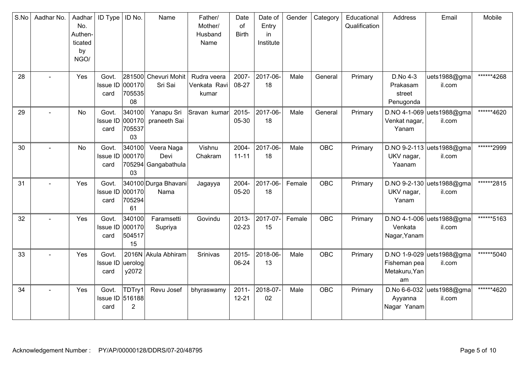| S.No | Aadhar No. | Aadhar<br>No.<br>Authen-<br>ticated<br>by<br>NGO/ | <b>ID Type</b>                      | ID No.                           | Name                                      | Father/<br>Mother/<br>Husband<br>Name | Date<br>of<br><b>Birth</b> | Date of<br>Entry<br>in<br>Institute | Gender | Category   | Educational<br>Qualification | Address                                     | Email                               | Mobile     |
|------|------------|---------------------------------------------------|-------------------------------------|----------------------------------|-------------------------------------------|---------------------------------------|----------------------------|-------------------------------------|--------|------------|------------------------------|---------------------------------------------|-------------------------------------|------------|
| 28   |            | Yes                                               | Govt.<br>Issue ID<br>card           | 000170<br>705535<br>08           | 281500 Chevuri Mohit<br>Sri Sai           | Rudra veera<br>Venkata Ravi<br>kumar  | 2007-<br>08-27             | 2017-06-<br>18                      | Male   | General    | Primary                      | D.No 4-3<br>Prakasam<br>street<br>Penugonda | uets1988@gma<br>il.com              | ******4268 |
| 29   |            | No                                                | Govt.<br>Issue ID<br>card           | 340100<br>000170<br>705537<br>03 | Yanapu Sri<br>praneeth Sai                | Sravan kumar                          | 2015-<br>05-30             | 2017-06-<br>18                      | Male   | General    | Primary                      | Venkat nagar,<br>Yanam                      | D.NO 4-1-069 uets1988@gma<br>il.com | ******4620 |
| 30   |            | No                                                | Govt.<br>Issue ID 000170<br>card    | 340100<br>03                     | Veera Naga<br>Devi<br>705294 Gangabathula | Vishnu<br>Chakram                     | 2004-<br>$11 - 11$         | 2017-06-<br>18                      | Male   | <b>OBC</b> | Primary                      | UKV nagar,<br>Yaanam                        | D.NO 9-2-113 uets1988@gma<br>il.com | ******2999 |
| 31   |            | Yes                                               | Govt.<br>Issue ID<br>card           | 000170<br>705294<br>61           | 340100 Durga Bhavani<br>Nama              | Jagayya                               | 2004-<br>05-20             | 2017-06-<br>18                      | Female | <b>OBC</b> | Primary                      | UKV nagar,<br>Yanam                         | D.NO 9-2-130 uets1988@gma<br>il.com | ******2815 |
| 32   |            | Yes                                               | Govt.<br>Issue ID<br>card           | 340100<br>000170<br>504517<br>15 | Faramsetti<br>Supriya                     | Govindu                               | 2013-<br>$02 - 23$         | 2017-07-<br>15                      | Female | <b>OBC</b> | Primary                      | Venkata<br>Nagar, Yanam                     | D.NO 4-1-006 uets1988@gma<br>il.com | ******5163 |
| 33   |            | Yes                                               | Govt.<br>Issue ID  uerolog <br>card | y2072                            | 2016N Akula Abhiram                       | Srinivas                              | 2015-<br>06-24             | 2018-06-<br>13                      | Male   | OBC        | Primary                      | Fisheman pea<br>Metakuru, Yan<br>am         | D.NO 1-9-029 uets1988@gma<br>il.com | ******5040 |
| 34   |            | Yes                                               | Govt.<br>Issue ID 516188<br>card    | TDTry1<br>$\overline{2}$         | Revu Josef                                | bhyraswamy                            | $2011 -$<br>$12 - 21$      | 2018-07-<br>02                      | Male   | <b>OBC</b> | Primary                      | D.No 6-6-032<br>Ayyanna<br>Nagar Yanam      | uets1988@gma<br>il.com              | ******4620 |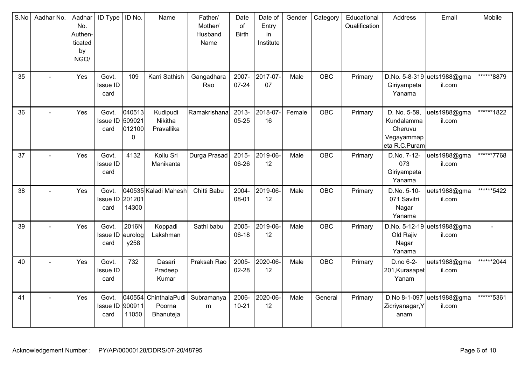| S.No | Aadhar No. | Aadhar<br>No.<br>Authen-<br>ticated<br>by<br>NGO/ | <b>ID Type</b>                    | ID No.                          | Name                                        | Father/<br>Mother/<br>Husband<br>Name | Date<br>of<br><b>Birth</b> | Date of<br>Entry<br>in<br>Institute | Gender | Category   | Educational<br>Qualification | Address                                                              | Email                                 | Mobile     |
|------|------------|---------------------------------------------------|-----------------------------------|---------------------------------|---------------------------------------------|---------------------------------------|----------------------------|-------------------------------------|--------|------------|------------------------------|----------------------------------------------------------------------|---------------------------------------|------------|
| 35   |            | Yes                                               | Govt.<br><b>Issue ID</b><br>card  | 109                             | Karri Sathish                               | Gangadhara<br>Rao                     | 2007-<br>$07 - 24$         | 2017-07-<br>07                      | Male   | <b>OBC</b> | Primary                      | Giriyampeta<br>Yanama                                                | D.No. 5-8-319 uets1988@gma<br>il.com  | ******8879 |
| 36   |            | Yes                                               | Govt.<br><b>Issue ID</b><br>card  | 040513<br>509021<br>012100<br>0 | Kudipudi<br>Nikitha<br>Pravallika           | Ramakrishana                          | 2013-<br>$05 - 25$         | 2018-07-<br>16                      | Female | <b>OBC</b> | Primary                      | D. No. 5-59,<br>Kundalamma<br>Cheruvu<br>Vegayammap<br>eta R.C.Puram | uets1988@gma<br>il.com                | ******1822 |
| 37   |            | Yes                                               | Govt.<br>Issue ID<br>card         | 4132                            | Kollu Sri<br>Manikanta                      | Durga Prasad                          | 2015-<br>06-26             | 2019-06-<br>12                      | Male   | <b>OBC</b> | Primary                      | D.No. 7-12-<br>073<br>Giriyampeta<br>Yanama                          | uets1988@gma<br>il.com                | ******7768 |
| 38   |            | Yes                                               | Govt.<br>Issue ID 201201<br>card  | 14300                           | 040535 Kaladi Mahesh                        | Chitti Babu                           | 2004-<br>08-01             | 2019-06-<br>12                      | Male   | OBC        | Primary                      | D.No. 5-10-<br>071 Savitri<br>Nagar<br>Yanama                        | uets1988@gma<br>il.com                | ******5422 |
| 39   |            | Yes                                               | Govt.<br>Issue ID eurolog<br>card | 2016N<br>y258                   | Koppadi<br>Lakshman                         | Sathi babu                            | 2005-<br>$06-18$           | 2019-06-<br>12                      | Male   | <b>OBC</b> | Primary                      | Old Rajiv<br>Nagar<br>Yanama                                         | D.No. 5-12-19 uets 1988@gma<br>il.com |            |
| 40   |            | Yes                                               | Govt.<br><b>Issue ID</b><br>card  | 732                             | Dasari<br>Pradeep<br>Kumar                  | Praksah Rao                           | 2005-<br>$02 - 28$         | 2020-06-<br>12                      | Male   | <b>OBC</b> | Primary                      | D.no 6-2-<br>201, Kurasapet<br>Yanam                                 | uets1988@gma<br>il.com                | ******2044 |
| 41   |            | Yes                                               | Govt.<br>Issue ID<br>card         | 900911<br>11050                 | 040554 ChinthalaPudi<br>Poorna<br>Bhanuteja | Subramanya<br>${\sf m}$               | 2006-<br>$10 - 21$         | 2020-06-<br>12                      | Male   | General    | Primary                      | D.No 8-1-097<br>Zicriyanagar, Y<br>anam                              | uets1988@gma<br>il.com                | ******5361 |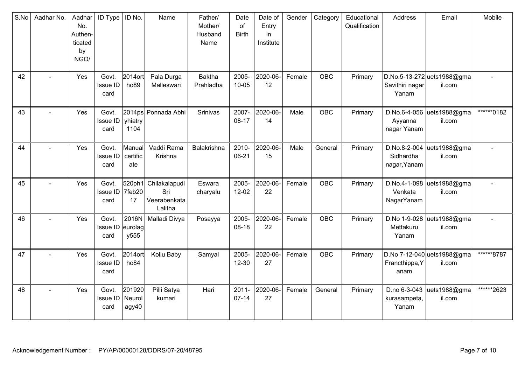| S.No | Aadhar No. | Aadhar<br>No.<br>Authen-<br>ticated<br>by<br>NGO/ | <b>ID Type</b>                   | ID No.                       | Name                                            | Father/<br>Mother/<br>Husband<br>Name | Date<br>of<br><b>Birth</b> | Date of<br>Entry<br>in<br>Institute | Gender | Category   | Educational<br>Qualification | Address                                   | Email                                 | Mobile     |
|------|------------|---------------------------------------------------|----------------------------------|------------------------------|-------------------------------------------------|---------------------------------------|----------------------------|-------------------------------------|--------|------------|------------------------------|-------------------------------------------|---------------------------------------|------------|
| 42   |            | Yes                                               | Govt.<br>Issue ID<br>card        | 2014 ort<br>ho <sub>89</sub> | Pala Durga<br>Malleswari                        | <b>Baktha</b><br>Prahladha            | 2005-<br>$10 - 05$         | 2020-06-<br>12                      | Female | <b>OBC</b> | Primary                      | Savithiri nagar<br>Yanam                  | D.No.5-13-272 uets1988@gma<br>il.com  |            |
| 43   |            | Yes                                               | Govt.<br>Issue ID<br>card        | yhiatry<br>1104              | 2014ps Ponnada Abhi                             | Srinivas                              | 2007-<br>$08-17$           | 2020-06-<br>14                      | Male   | <b>OBC</b> | Primary                      | D.No.6-4-056<br>Ayyanna<br>nagar Yanam    | uets1988@gma<br>il.com                | ******0182 |
| 44   |            | Yes                                               | Govt.<br><b>Issue ID</b><br>card | Manual<br>certific<br>ate    | Vaddi Rama<br>Krishna                           | Balakrishna                           | 2010-<br>06-21             | 2020-06-<br>15                      | Male   | General    | Primary                      | D.No.8-2-004<br>Sidhardha<br>nagar, Yanam | uets1988@gma<br>il.com                |            |
| 45   |            | Yes                                               | Govt.<br><b>Issue ID</b><br>card | 520ph1<br>7feb20<br>17       | Chilakalapudi<br>Sri<br>Veerabenkata<br>Lalitha | Eswara<br>charyalu                    | 2005-<br>$12 - 02$         | 2020-06-<br>22                      | Female | <b>OBC</b> | Primary                      | D.No.4-1-098<br>Venkata<br>NagarYanam     | uets1988@gma<br>il.com                |            |
| 46   |            | Yes                                               | Govt.<br>Issue ID<br>card        | 2016N<br>eurolag<br>y555     | Malladi Divya                                   | Posayya                               | 2005-<br>08-18             | 2020-06-<br>22                      | Female | <b>OBC</b> | Primary                      | D.No 1-9-028<br>Mettakuru<br>Yanam        | uets1988@gma<br>il.com                |            |
| 47   |            | Yes                                               | Govt.<br><b>Issue ID</b><br>card | 2014 ort<br>ho <sub>84</sub> | Kollu Baby                                      | Samyal                                | 2005-<br>$12 - 30$         | 2020-06-<br>27                      | Female | OBC        | Primary                      | Francthippa, Y<br>anam                    | D.No 7-12-040 uets 1988@gma<br>il.com | ******8787 |
| 48   |            | Yes                                               | Govt.<br>Issue ID<br>card        | 201920<br>Neurol<br>agy40    | Pilli Satya<br>kumari                           | Hari                                  | $2011 -$<br>$07 - 14$      | 2020-06-<br>27                      | Female | General    | Primary                      | D.no 6-3-043<br>kurasampeta,<br>Yanam     | uets1988@gma<br>il.com                | ******2623 |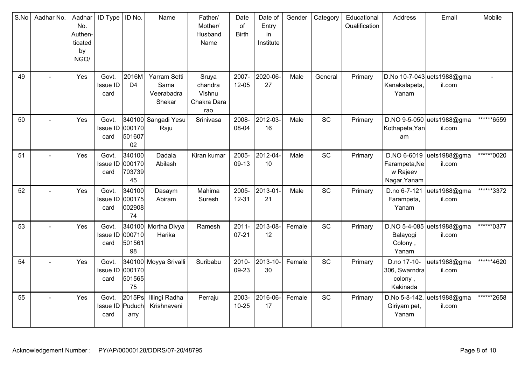| S.No | Aadhar No. | Aadhar<br>No.<br>Authen-<br>ticated<br>by<br>NGO/ | <b>ID</b> Type                   | ID No.                           | Name                                         | Father/<br>Mother/<br>Husband<br>Name            | Date<br>of<br><b>Birth</b> | Date of<br>Entry<br>in<br>Institute | Gender | Category | Educational<br>Qualification | Address                                                  | Email                                 | Mobile      |
|------|------------|---------------------------------------------------|----------------------------------|----------------------------------|----------------------------------------------|--------------------------------------------------|----------------------------|-------------------------------------|--------|----------|------------------------------|----------------------------------------------------------|---------------------------------------|-------------|
| 49   |            | Yes                                               | Govt.<br><b>Issue ID</b><br>card | 2016M<br>D <sub>4</sub>          | Yarram Setti<br>Sama<br>Veerabadra<br>Shekar | Sruya<br>chandra<br>Vishnu<br>Chakra Dara<br>rao | 2007-<br>$12 - 05$         | 2020-06-<br>27                      | Male   | General  | Primary                      | Kanakalapeta,<br>Yanam                                   | D.No 10-7-043 uets 1988@gma<br>il.com |             |
| 50   |            | Yes                                               | Govt.<br>Issue ID 000170<br>card | 501607<br>02                     | 340100 Sangadi Yesu<br>Raju                  | Srinivasa                                        | 2008-<br>08-04             | 2012-03-<br>16                      | Male   | SC       | Primary                      | Kothapeta, Yan<br>am                                     | D.NO 9-5-050 uets1988@gma<br>il.com   | ******6559  |
| 51   |            | Yes                                               | Govt.<br>Issue ID 000170<br>card | 340100<br>703739<br>45           | Dadala<br>Abilash                            | Kiran kumar                                      | 2005-<br>09-13             | 2012-04-<br>10                      | Male   | SC       | Primary                      | D.NO 6-6019<br>Farampeta, Ne<br>w Rajeev<br>Nagar, Yanam | uets1988@gma<br>il.com                | *******0020 |
| 52   |            | Yes                                               | Govt.<br>Issue ID<br>card        | 340100<br>000175<br>002908<br>74 | Dasaym<br>Abiram                             | Mahima<br>Suresh                                 | 2005-<br>$12 - 31$         | 2013-01<br>21                       | Male   | SC       | Primary                      | D.no 6-7-121<br>Farampeta,<br>Yanam                      | uets1988@gma<br>il.com                | ******3372  |
| 53   |            | Yes                                               | Govt.<br><b>Issue ID</b><br>card | 340100<br>000710<br>501561<br>98 | Mortha Divya<br>Harika                       | Ramesh                                           | $2011 -$<br>$07 - 21$      | 2013-08-<br>12                      | Female | SC       | Primary                      | Balayogi<br>Colony,<br>Yanam                             | D.NO 5-4-085 uets1988@gma<br>il.com   | *******0377 |
| 54   |            | Yes                                               | Govt.<br><b>Issue ID</b><br>card | 000170<br>501565<br>75           | 340100 Moyya Srivalli                        | Suribabu                                         | 2010-<br>09-23             | 2013-10-<br>30                      | Female | SC       | Primary                      | D.no 17-10-<br>306, Swarndra<br>colony,<br>Kakinada      | uets1988@gma<br>il.com                | ******4620  |
| 55   |            | Yes                                               | Govt.<br>Issue ID Puduch<br>card | 2015Ps<br>arry                   | Illingi Radha<br>Krishnaveni                 | Perraju                                          | 2003-<br>$10 - 25$         | 2016-06-<br>17                      | Female | SC       | Primary                      | D.No 5-8-142,<br>Giriyam pet,<br>Yanam                   | uets1988@gma<br>il.com                | ******2658  |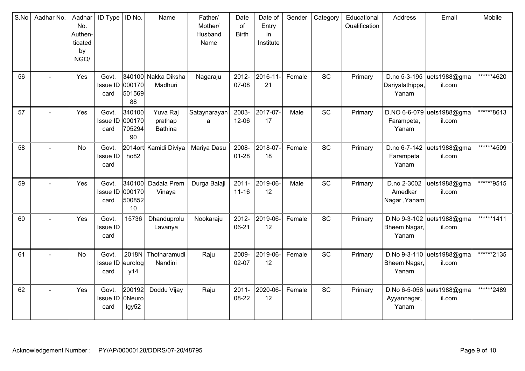| S.No | Aadhar No. | Aadhar<br>No.<br>Authen-<br>ticated<br>by<br>NGO/ | ID Type                           | ID No.                           | Name                                  | Father/<br>Mother/<br>Husband<br>Name | Date<br>of<br><b>Birth</b> | Date of<br>Entry<br>in<br>Institute | Gender | Category  | Educational<br>Qualification | Address                                  | Email                                | Mobile     |
|------|------------|---------------------------------------------------|-----------------------------------|----------------------------------|---------------------------------------|---------------------------------------|----------------------------|-------------------------------------|--------|-----------|------------------------------|------------------------------------------|--------------------------------------|------------|
| 56   |            | Yes                                               | Govt.<br><b>Issue ID</b><br>card  | 000170<br>501569<br>88           | 340100 Nakka Diksha<br>Madhuri        | Nagaraju                              | 2012-<br>07-08             | 2016-11-<br>21                      | Female | <b>SC</b> | Primary                      | D.no 5-3-195<br>Dariyalathippa,<br>Yanam | uets1988@gma<br>il.com               | ******4620 |
| 57   |            | Yes                                               | Govt.<br><b>Issue ID</b><br>card  | 340100<br>000170<br>705294<br>90 | Yuva Raj<br>prathap<br><b>Bathina</b> | Sataynarayan<br>a                     | 2003-<br>12-06             | 2017-07-<br>17                      | Male   | SC        | Primary                      | Farampeta,<br>Yanam                      | D.NO 6-6-079 uets1988@gma<br>il.com  | ******8613 |
| 58   |            | No                                                | Govt.<br>Issue ID<br>card         | ho <sub>82</sub>                 | 2014ort Kamidi Diviya                 | Mariya Dasu                           | 2008-<br>$01 - 28$         | 2018-07-<br>18                      | Female | <b>SC</b> | Primary                      | D.no 6-7-142<br>Farampeta<br>Yanam       | uets1988@gma<br>il.com               | ******4509 |
| 59   |            | Yes                                               | Govt.<br><b>Issue ID</b><br>card  | 000170<br>500852<br>10           | 340100 Dadala Prem<br>Vinaya          | Durga Balaji                          | $2011 -$<br>$11 - 16$      | 2019-06-<br>12                      | Male   | <b>SC</b> | Primary                      | D.no 2-3002<br>Amedkar<br>Nagar, Yanam   | uets1988@gma<br>il.com               | ******9515 |
| 60   |            | Yes                                               | Govt.<br><b>Issue ID</b><br>card  | 15736                            | Dhanduprolu<br>Lavanya                | Nookaraju                             | 2012-<br>06-21             | 2019-06-<br>12                      | Female | <b>SC</b> | Primary                      | D.No 9-3-102<br>Bheem Nagar,<br>Yanam    | uets1988@gma<br>il.com               | ******1411 |
| 61   |            | No                                                | Govt.<br>Issue ID eurolog<br>card | y14                              | 2018N Thotharamudi<br>Nandini         | Raju                                  | 2009-<br>$02 - 07$         | 2019-06-<br>12                      | Female | SC        | Primary                      | Bheem Nagar,<br>Yanam                    | D.No 9-3-110  uets1988@gma<br>il.com | ******2135 |
| 62   | L.         | Yes                                               | Govt.<br><b>Issue ID</b><br>card  | 200192<br>0Neuro<br>lgy52        | Doddu Vijay                           | Raju                                  | $2011 -$<br>08-22          | 2020-06-<br>12                      | Female | <b>SC</b> | Primary                      | Ayyannagar,<br>Yanam                     | D.No 6-5-056 uets1988@gma<br>il.com  | ******2489 |